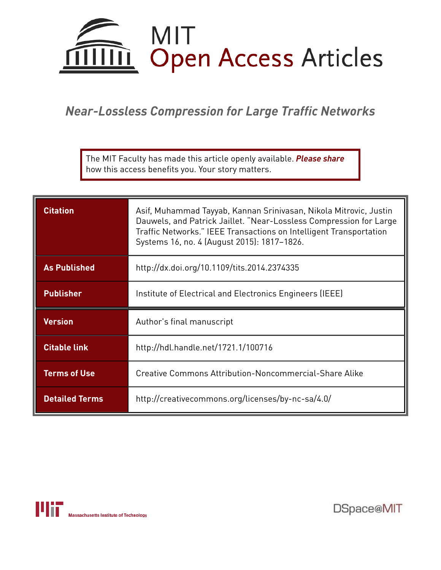

# *Near-Lossless Compression for Large Traffic Networks*

The MIT Faculty has made this article openly available. *Please share*  how this access benefits you. Your story matters.

| <b>Citation</b>     | Asif, Muhammad Tayyab, Kannan Srinivasan, Nikola Mitrovic, Justin<br>Dauwels, and Patrick Jaillet. "Near-Lossless Compression for Large<br>Traffic Networks." IEEE Transactions on Intelligent Transportation<br>Systems 16, no. 4 (August 2015): 1817-1826. |
|---------------------|--------------------------------------------------------------------------------------------------------------------------------------------------------------------------------------------------------------------------------------------------------------|
| <b>As Published</b> | http://dx.doi.org/10.1109/tits.2014.2374335                                                                                                                                                                                                                  |
| <b>Publisher</b>    | Institute of Electrical and Electronics Engineers (IEEE)                                                                                                                                                                                                     |
| <b>Version</b>      | Author's final manuscript                                                                                                                                                                                                                                    |
| <b>Citable link</b> | http://hdl.handle.net/1721.1/100716                                                                                                                                                                                                                          |
| <b>Terms of Use</b> | Creative Commons Attribution-Noncommercial-Share Alike                                                                                                                                                                                                       |
|                     |                                                                                                                                                                                                                                                              |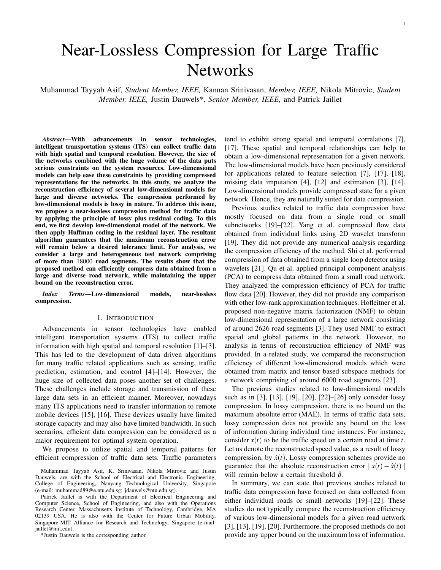# Near-Lossless Compression for Large Traffic **Networks**

Muhammad Tayyab Asif, *Student Member, IEEE,* Kannan Srinivasan, *Member, IEEE,* Nikola Mitrovic, *Student Member, IEEE,* Justin Dauwels\*, *Senior Member, IEEE,* and Patrick Jaillet

*Abstract***—With advancements in sensor technologies, intelligent transportation systems (ITS) can collect traffic data with high spatial and temporal resolution. However, the size of the networks combined with the huge volume of the data puts serious constraints on the system resources. Low-dimensional models can help ease these constraints by providing compressed representations for the networks. In this study, we analyze the reconstruction efficiency of several low-dimensional models for large and diverse networks. The compression performed by low-dimensional models is lossy in nature. To address this issue, we propose a near-lossless compression method for traffic data by applying the principle of lossy plus residual coding. To this end, we first develop low-dimensional model of the network. We then apply Huffman coding in the residual layer. The resultant algorithm guarantees that the maximum reconstruction error will remain below a desired tolerance limit. For analysis, we consider a large and heterogeneous test network comprising of more than** 18000 **road segments. The results show that the proposed method can efficiently compress data obtained from a large and diverse road network, while maintaining the upper bound on the reconstruction error.**

*Index Terms***—Low-dimensional models, near-lossless compression.**

#### I. INTRODUCTION

Advancements in sensor technologies have enabled intelligent transportation systems (ITS) to collect traffic information with high spatial and temporal resolution [1]–[3]. This has led to the development of data driven algorithms for many traffic related applications such as sensing, traffic prediction, estimation, and control [4]–[14]. However, the huge size of collected data poses another set of challenges. These challenges include storage and transmission of these large data sets in an efficient manner. Moreover, nowadays many ITS applications need to transfer information to remote mobile devices [15], [16]. These devices usually have limited storage capacity and may also have limited bandwidth. In such scenarios, efficient data compression can be considered as a major requirement for optimal system operation.

We propose to utilize spatial and temporal patterns for efficient compression of traffic data sets. Traffic parameters

Patrick Jaillet is with the Department of Electrical Engineering and Computer Science, School of Engineering, and also with the Operations Research Center, Massachusetts Institute of Technology, Cambridge, MA 02139 USA. He is also with the Center for Future Urban Mobility, Singapore-MIT Alliance for Research and Technology, Singapore (e-mail: jaillet@mit.edu).

\*Justin Dauwels is the corresponding author.

tend to exhibit strong spatial and temporal correlations [7], [17]. These spatial and temporal relationships can help to obtain a low-dimensional representation for a given network. The low-dimensional models have been previously considered for applications related to feature selection [7], [17], [18], missing data imputation [4], [12] and estimation [3], [14]. Low-dimensional models provide compressed state for a given network. Hence, they are naturally suited for data compression.

Previous studies related to traffic data compression have mostly focused on data from a single road or small subnetworks [19]–[22]. Yang et al. compressed flow data obtained from individual links using 2D wavelet transform [19]. They did not provide any numerical analysis regarding the compression efficiency of the method. Shi et al. performed compression of data obtained from a single loop detector using wavelets [21]. Qu et al. applied principal component analysis (PCA) to compress data obtained from a small road network. They analyzed the compression efficiency of PCA for traffic flow data [20]. However, they did not provide any comparison with other low-rank approximation techniques. Hofleitner et al. proposed non-negative matrix factorization (NMF) to obtain low-dimensional representation of a large network consisting of around 2626 road segments [3]. They used NMF to extract spatial and global patterns in the network. However, no analysis in terms of reconstruction efficiency of NMF was provided. In a related study, we compared the reconstruction efficiency of different low-dimensional models which were obtained from matrix and tensor based subspace methods for a network comprising of around 6000 road segments [23].

The previous studies related to low-dimensional models such as in [3], [13], [19], [20], [22]–[26] only consider lossy compression. In lossy compression, there is no bound on the maximum absolute error (MAE). In terms of traffic data sets, lossy compression does not provide any bound on the loss of information during individual time instances. For instance, consider  $x(t)$  to be the traffic speed on a certain road at time *t*. Let us denote the reconstructed speed value, as a result of lossy compression, by  $\hat{x}(t)$ . Lossy compression schemes provide no guarantee that the absolute reconstruction error  $|x(t) - \hat{x}(t)|$ will remain below a certain threshold  $\delta$ .

In summary, we can state that previous studies related to traffic data compression have focused on data collected from either individual roads or small networks [19]–[22]. These studies do not typically compare the reconstruction efficiency of various low-dimensional models for a given road network [3], [13], [19], [20]. Furthermore, the proposed methods do not provide any upper bound on the maximum loss of information.

Muhammad Tayyab Asif, K. Srinivasan, Nikola Mitrovic and Justin Dauwels, are with the School of Electrical and Electronic Engineering, College of Engineering, Nanyang Technological University, Singapore (e-mail: muhammad89@e.ntu.edu.sg; jdauwels@ntu.edu.sg).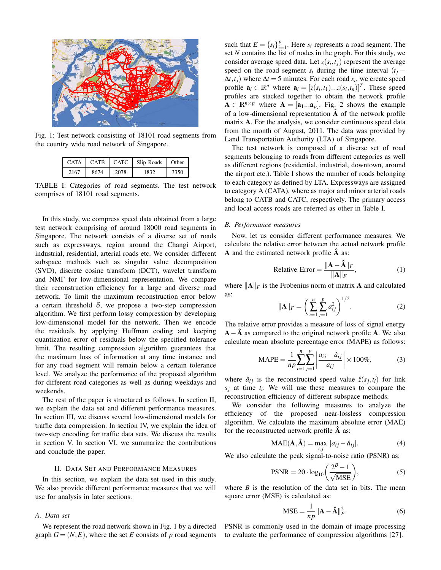

Fig. 1: Test network consisting of 18101 road segments from the country wide road network of Singapore.

|      |      |      | CATA   CATB   CATC   Slip Roads   Other |      |
|------|------|------|-----------------------------------------|------|
| 2167 | 8674 | 2078 | 1832                                    | 3350 |

TABLE I: Categories of road segments. The test network comprises of 18101 road segments.

In this study, we compress speed data obtained from a large test network comprising of around 18000 road segments in Singapore. The network consists of a diverse set of roads such as expressways, region around the Changi Airport, industrial, residential, arterial roads etc. We consider different subspace methods such as singular value decomposition (SVD), discrete cosine transform (DCT), wavelet transform and NMF for low-dimensional representation. We compare their reconstruction efficiency for a large and diverse road network. To limit the maximum reconstruction error below a certain threshold  $\delta$ , we propose a two-step compression algorithm. We first perform lossy compression by developing low-dimensional model for the network. Then we encode the residuals by applying Huffman coding and keeping quantization error of residuals below the specified tolerance limit. The resulting compression algorithm guarantees that the maximum loss of information at any time instance and for any road segment will remain below a certain tolerance level. We analyze the performance of the proposed algorithm for different road categories as well as during weekdays and weekends.

The rest of the paper is structured as follows. In section II, we explain the data set and different performance measures. In section III, we discuss several low-dimensional models for traffic data compression. In section IV, we explain the idea of two-step encoding for traffic data sets. We discuss the results in section V. In section VI, we summarize the contributions and conclude the paper.

# II. DATA SET AND PERFORMANCE MEASURES

In this section, we explain the data set used in this study. We also provide different performance measures that we will use for analysis in later sections.

# *A. Data set*

We represent the road network shown in Fig. 1 by a directed graph  $G = (N, E)$ , where the set *E* consists of *p* road segments

such that  $E = \{s_i\}_{i=1}^p$  $\sum_{i=1}^{p}$ . Here  $s_i$  represents a road segment. The set *N* contains the list of nodes in the graph. For this study, we consider average speed data. Let  $z(s_i, t_j)$  represent the average speed on the road segment  $s_i$  during the time interval  $(t_j \Delta t$ , *t*<sub>*j*</sub>) where  $\Delta t = 5$  minutes. For each road *s*<sub>*i*</sub>, we create speed profile  $\mathbf{a}_i \in \mathbb{R}^n$  where  $\mathbf{a}_i = [z(s_i, t_1)...z(s_i, t_n)]^T$ . These speed profiles are stacked together to obtain the network profile  $\mathbf{A} \in \mathbb{R}^{n \times p}$  where  $\mathbf{A} = [\mathbf{a}_1...\mathbf{a}_p]$ . Fig. 2 shows the example of a low-dimensional representation **Aˆ** of the network profile matrix **A**. For the analysis, we consider continuous speed data from the month of August, 2011. The data was provided by Land Transportation Authority (LTA) of Singapore.

The test network is composed of a diverse set of road segments belonging to roads from different categories as well as different regions (residential, industrial, downtown, around the airport etc.). Table I shows the number of roads belonging to each category as defined by LTA. Expressways are assigned to category A (CATA), where as major and minor arterial roads belong to CATB and CATC, respectively. The primary access and local access roads are referred as other in Table I.

# *B. Performance measures*

Now, let us consider different performance measures. We calculate the relative error between the actual network profile **A** and the estimated network profile **Aˆ** as:

Relative Error = 
$$
\frac{\|\mathbf{A} - \mathbf{\hat{A}}\|_F}{\|\mathbf{A}\|_F},
$$
 (1)

where  $\|\mathbf{A}\|_F$  is the Frobenius norm of matrix **A** and calculated as:

$$
\|\mathbf{A}\|_{F} = \left(\sum_{i=1}^{n} \sum_{j=1}^{p} a_{ij}^{2}\right)^{1/2}.
$$
 (2)

The relative error provides a measure of loss of signal energy  $\mathbf{A} - \hat{\mathbf{A}}$  as compared to the original network profile **A**. We also calculate mean absolute percentage error (MAPE) as follows:

$$
\text{MAPE} = \frac{1}{np} \sum_{i=1}^{n} \sum_{j=1}^{p} \left| \frac{a_{ij} - \hat{a}_{ij}}{a_{ij}} \right| \times 100\%,\tag{3}
$$

where  $\hat{a}_{ij}$  is the reconstructed speed value  $\hat{z}(s_j, t_i)$  for link  $s_j$  at time  $t_i$ . We will use these measures to compare the reconstruction efficiency of different subspace methods.

We consider the following measures to analyze the efficiency of the proposed near-lossless compression algorithm. We calculate the maximum absolute error (MAE) for the reconstructed network profile **Aˆ** as:

$$
MAE(\mathbf{A}, \hat{\mathbf{A}}) = \max_{i,j} |a_{ij} - \hat{a}_{ij}|.
$$
 (4)

We also calculate the peak signal-to-noise ratio (PSNR) as:

$$
PSNR = 20 \cdot \log_{10} \left( \frac{2^B - 1}{\sqrt{\text{MSE}}} \right),\tag{5}
$$

where  $B$  is the resolution of the data set in bits. The mean square error (MSE) is calculated as:

$$
\text{MSE} = \frac{1}{np} ||\mathbf{A} - \mathbf{\hat{A}}||_F^2.
$$
 (6)

PSNR is commonly used in the domain of image processing to evaluate the performance of compression algorithms [27].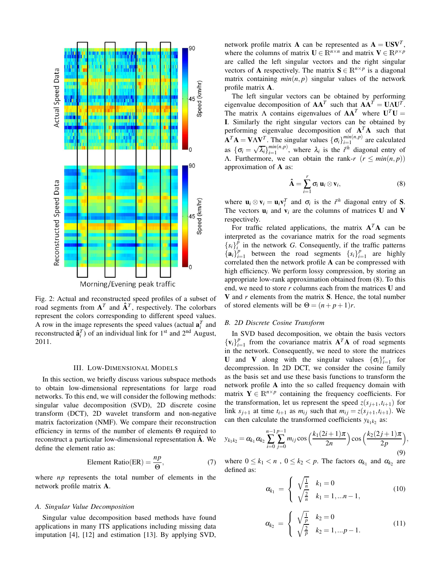

Fig. 2: Actual and reconstructed speed profiles of a subset of road segments from  $A<sup>T</sup>$  and  $\hat{A}$ <sup>*T*</sup>, respectively. The colorbars represent the colors corresponding to different speed values. A row in the image represents the speed values (actual  $\mathbf{a}_i^T$  and reconstructed  $\hat{\mathbf{a}}_i^T$ ) of an individual link for 1<sup>st</sup> and 2<sup>nd</sup> August, 2011.

#### III. LOW-DIMENSIONAL MODELS

In this section, we briefly discuss various subspace methods to obtain low-dimensional representations for large road networks. To this end, we will consider the following methods: singular value decomposition (SVD), 2D discrete cosine transform (DCT), 2D wavelet transform and non-negative matrix factorization (NMF). We compare their reconstruction efficiency in terms of the number of elements Θ required to reconstruct a particular low-dimensional representation **Aˆ** . We define the element ratio as:

Element Ratio(ER) = 
$$
\frac{np}{\Theta}
$$
, (7)

where *np* represents the total number of elements in the network profile matrix **A**.

#### *A. Singular Value Decomposition*

Singular value decomposition based methods have found applications in many ITS applications including missing data imputation [4], [12] and estimation [13]. By applying SVD,

network profile matrix **A** can be represented as  $A = USV<sup>T</sup>$ , where the columns of matrix **U**  $\in \mathbb{R}^{n \times n}$  and matrix **V**  $\in \mathbb{R}^{p \times p}$ are called the left singular vectors and the right singular vectors of **A** respectively. The matrix  $S \in \mathbb{R}^{n \times p}$  is a diagonal matrix containing  $min(n, p)$  singular values of the network profile matrix **A**.

The left singular vectors can be obtained by performing eigenvalue decomposition of  $AA^T$  such that  $AA^T = UAU^T$ . The matrix  $\Lambda$  contains eigenvalues of  $AA^T$  where  $U^T U =$ **I**. Similarly the right singular vectors can be obtained by performing eigenvalue decomposition of  $A<sup>T</sup>A$  such that  $\mathbf{A}^T \mathbf{A} = \mathbf{V} \mathbf{\Lambda} \mathbf{V}^T$ . The singular values  $\{\sigma_i\}_{i=1}^{min(n,p)}$  $\binom{min(n,p)}{i=1}$  are calculated as  $\{\sigma_i = \sqrt{\lambda_i}\}_{i=1}^{min(n,p)}$  $\lim_{i=1}^{mn(n,p)}$ , where  $\lambda_i$  is the *i*<sup>th</sup> diagonal entry of Λ. Furthermore, we can obtain the rank-*r* (*r* ≤ *min*(*n*, *p*)) approximation of **A** as:

$$
\hat{\mathbf{A}} = \sum_{i=1}^{r} \sigma_i \, \mathbf{u}_i \otimes \mathbf{v}_i, \tag{8}
$$

where  $\mathbf{u}_i \otimes \mathbf{v}_i = \mathbf{u}_i \mathbf{v}_i^T$  and  $\sigma_i$  is the *i*<sup>th</sup> diagonal entry of **S**. The vectors  $\mathbf{u}_i$  and  $\mathbf{v}_i$  are the columns of matrices **U** and **V** respectively.

For traffic related applications, the matrix  $A<sup>T</sup>A$  can be interpreted as the covariance matrix for the road segments  ${s_i}_{i}$ <sup> $\hat{p}$ </sup> in the network *G*. Consequently, if the traffic patterns  $\left\{ \mathbf{a}_{i}\right\} _{i=1}^{p}$  $i=1$  between the road segments  ${s_i}_{i=1}^p$  $_{i=1}^{p}$  are highly correlated then the network profile **A** can be compressed with high efficiency. We perform lossy compression, by storing an appropriate low-rank approximation obtained from (8). To this end, we need to store *r* columns each from the matrices **U** and **V** and *r* elements from the matrix **S**. Hence, the total number of stored elements will be  $\Theta = (n+p+1)r$ .

# *B. 2D Discrete Cosine Transform*

In SVD based decomposition, we obtain the basis vectors  ${ {\bf v}_i }_{i=0}^p$  $_{i=1}^{p}$  from the covariance matrix  $A^{T}A$  of road segments in the network. Consequently, we need to store the matrices **U** and **V** along with the singular values  ${\{\sigma_i\}}_{i=1}^r$  for decompression. In 2D DCT, we consider the cosine family as the basis set and use these basis functions to transform the network profile **A** into the so called frequency domain with matrix  $\mathbf{Y} \in \mathbb{R}^{n \times p}$  containing the frequency coefficients. For the transformation, let us represent the speed  $z(s_{i+1}, t_{i+1})$  for link  $s_{i+1}$  at time  $t_{i+1}$  as  $m_{ij}$  such that  $m_{ij} = z(s_{i+1}, t_{i+1})$ . We can then calculate the transformed coefficients  $y_{k_1k_2}$  as:

$$
y_{k_1k_2} = \alpha_{k_1} \alpha_{k_2} \sum_{i=0}^{n-1} \sum_{j=0}^{p-1} m_{ij} \cos\left(\frac{k_1(2i+1)\pi}{2n}\right) \cos\left(\frac{k_2(2j+1)\pi}{2p}\right),\tag{9}
$$

where  $0 \le k_1 < n$ ,  $0 \le k_2 < p$ . The factors  $\alpha_{k_1}$  and  $\alpha_{k_2}$  are defined as:

$$
\alpha_{k_1} = \begin{cases} \sqrt{\frac{1}{n}} & k_1 = 0 \\ \sqrt{\frac{2}{n}} & k_1 = 1, \dots n - 1, \end{cases} \tag{10}
$$

$$
\alpha_{k_2} = \begin{cases} \sqrt{\frac{1}{p}} & k_2 = 0\\ \sqrt{\frac{2}{p}} & k_2 = 1, \dots p - 1. \end{cases} \tag{11}
$$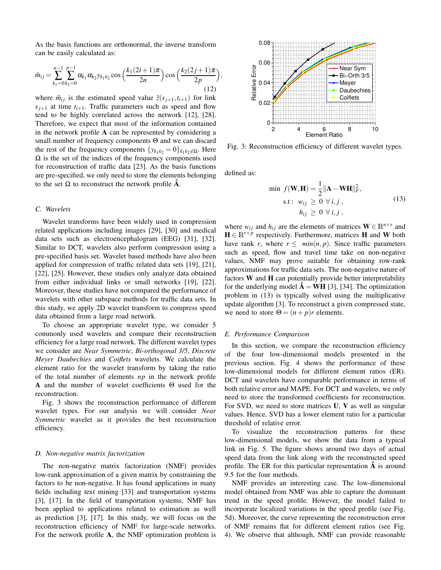As the basis functions are orthonormal, the inverse transform can be easily calculated as:

$$
\hat{m}_{ij} = \sum_{k_1=0}^{n-1} \sum_{k_2=0}^{p-1} \alpha_{k_1} \alpha_{k_2} y_{k_1 k_2} \cos\left(\frac{k_1(2i+1)\pi}{2n}\right) \cos\left(\frac{k_2(2j+1)\pi}{2p}\right)
$$
\n(12)

where  $\hat{m}_{ij}$  is the estimated speed value  $\hat{z}(s_{j+1}, t_{i+1})$  for link  $s_{j+1}$  at time  $t_{i+1}$ . Traffic parameters such as speed and flow tend to be highly correlated across the network [12], [28]. Therefore, we expect that most of the information contained in the network profile **A** can be represented by considering a small number of frequency components Θ and we can discard the rest of the frequency components  $\{y_{k_1k_2} = 0\}_{k_1k_2 \notin \Omega}$ . Here  $\Omega$  is the set of the indices of the frequency components used for reconstruction of traffic data [23]. As the basis functions are pre-specified, we only need to store the elements belonging to the set  $\Omega$  to reconstruct the network profile **A**.

# *C. Wavelets*

Wavelet transforms have been widely used in compression related applications including images [29], [30] and medical data sets such as electroencephalogram (EEG) [31], [32]. Similar to DCT, wavelets also perform compression using a pre-specified basis set. Wavelet based methods have also been applied for compression of traffic related data sets [19], [21], [22], [25]. However, these studies only analyze data obtained from either individual links or small networks [19], [22]. Moreover, these studies have not compared the performance of wavelets with other subspace methods for traffic data sets. In this study, we apply 2D wavelet transform to compress speed data obtained from a large road network.

To choose an appropriate wavelet type, we consider 5 commonly used wavelets and compare their reconstruction efficiency for a large road network. The different wavelet types we consider are *Near Symmetric*, *Bi-orthogonal 3/5*, *Discrete Meyer Daubechies* and *Coiflets* wavelets. We calculate the element ratio for the wavelet transform by taking the ratio of the total number of elements *np* in the network profile **A** and the number of wavelet coefficients Θ used for the reconstruction.

Fig. 3 shows the reconstruction performance of different wavelet types. For our analysis we will consider *Near Symmetric* wavelet as it provides the best reconstruction efficiency.

#### *D. Non-negative matrix factorization*

The non-negative matrix factorization (NMF) provides low-rank approximation of a given matrix by constraining the factors to be non-negative. It has found applications in many fields including text mining [33] and transportation systems [3], [17]. In the field of transportation systems, NMF has been applied to applications related to estimation as well as prediction [3], [17]. In this study, we will focus on the reconstruction efficiency of NMF for large-scale networks. For the network profile **A**, the NMF optimization problem is



Fig. 3: Reconstruction efficiency of different wavelet types.

defined as:

,

$$
\min f(\mathbf{W}, \mathbf{H}) = \frac{1}{2} ||\mathbf{A} - \mathbf{W}\mathbf{H}||_F^2,
$$
  
s.t:  $w_{ij} \ge 0 \ \forall i, j,$   
 $h_{ij} \ge 0 \ \forall i, j,$  (13)

where  $w_{ij}$  and  $h_{ij}$  are the elements of matrices  $\mathbf{W} \in \mathbb{R}^{n \times r}$  and  $\mathbf{H} \in \mathbb{R}^{r \times p}$  respectively. Furthermore, matrices **H** and **W** both have rank *r*, where  $r \leq min(n, p)$ . Since traffic parameters such as speed, flow and travel time take on non-negative values, NMF may prove suitable for obtaining row-rank approximations for traffic data sets. The non-negative nature of factors **W** and **H** can potentially provide better interpretability for the underlying model  $\mathbf{\tilde{A}} = \mathbf{WH}$  [3], [34]. The optimization problem in (13) is typically solved using the multiplicative update algorithm [3]. To reconstruct a given compressed state, we need to store  $\Theta = (n+p)r$  elements.

#### *E. Performance Comparison*

In this section, we compare the reconstruction efficiency of the four low-dimensional models presented in the previous section. Fig. 4 shows the performance of these low-dimensional models for different element ratios (ER). DCT and wavelets have comparable performance in terms of both relative error and MAPE. For DCT and wavelets, we only need to store the transformed coefficients for reconstruction. For SVD, we need to store matrices **U**, **V** as well as singular values. Hence, SVD has a lower element ratio for a particular threshold of relative error.

To visualize the reconstruction patterns for these low-dimensional models, we show the data from a typical link in Fig. 5. The figure shows around two days of actual speed data from the link along with the reconstructed speed profile. The ER for this particular representation  $\hat{A}$  is around 9.5 for the four methods.

NMF provides an interesting case. The low-dimensional model obtained from NMF was able to capture the dominant trend in the speed profile. However, the model failed to incorporate localized variations in the speed profile (see Fig. 5d). Moreover, the curve representing the reconstruction error of NMF remains flat for different element ratios (see Fig. 4). We observe that although, NMF can provide reasonable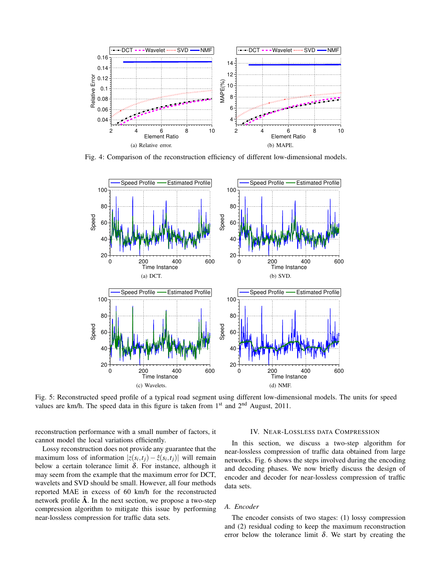

Fig. 4: Comparison of the reconstruction efficiency of different low-dimensional models.



Fig. 5: Reconstructed speed profile of a typical road segment using different low-dimensional models. The units for speed values are km/h. The speed data in this figure is taken from  $1<sup>st</sup>$  and  $2<sup>nd</sup>$  August, 2011.

reconstruction performance with a small number of factors, it cannot model the local variations efficiently.

Lossy reconstruction does not provide any guarantee that the maximum loss of information  $|z(s_i,t_j) - \hat{z}(s_i,t_j)|$  will remain below a certain tolerance limit  $\delta$ . For instance, although it may seem from the example that the maximum error for DCT, wavelets and SVD should be small. However, all four methods reported MAE in excess of 60 km/h for the reconstructed network profile **Aˆ** . In the next section, we propose a two-step compression algorithm to mitigate this issue by performing near-lossless compression for traffic data sets.

#### IV. NEAR-LOSSLESS DATA COMPRESSION

In this section, we discuss a two-step algorithm for near-lossless compression of traffic data obtained from large networks. Fig. 6 shows the steps involved during the encoding and decoding phases. We now briefly discuss the design of encoder and decoder for near-lossless compression of traffic data sets.

# *A. Encoder*

The encoder consists of two stages: (1) lossy compression and (2) residual coding to keep the maximum reconstruction error below the tolerance limit  $\delta$ . We start by creating the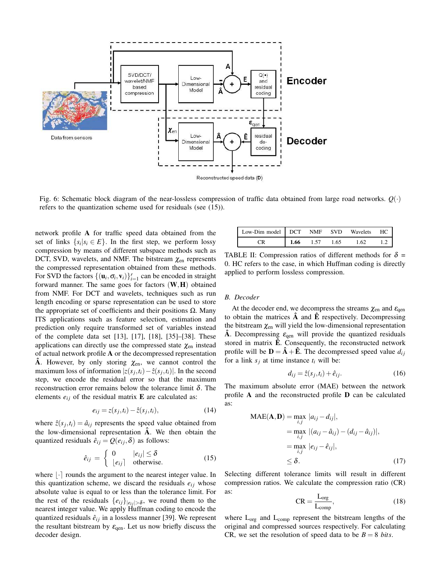

Fig. 6: Schematic block diagram of the near-lossless compression of traffic data obtained from large road networks. *Q*(·) refers to the quantization scheme used for residuals (see (15)).

network profile **A** for traffic speed data obtained from the set of links  $\{s_i | s_i \in E\}$ . In the first step, we perform lossy compression by means of different subspace methods such as DCT, SVD, wavelets, and NMF. The bitstream  $\chi_{en}$  represents the compressed representation obtained from these methods. For SVD the factors  $\{(\mathbf{u}_i, \sigma_i, \mathbf{v}_i)\}_{i=1}^r$  can be encoded in straight forward manner. The same goes for factors (**W**,**H**) obtained from NMF. For DCT and wavelets, techniques such as run length encoding or sparse representation can be used to store the appropriate set of coefficients and their positions  $Ω$ . Many ITS applications such as feature selection, estimation and prediction only require transformed set of variables instead of the complete data set [13], [17], [18], [35]–[38]. These applications can directly use the compressed state  $\chi_{en}$  instead of actual network profile **A** or the decompressed representation **A**. However, by only storing  $\chi_{en}$ , we cannot control the maximum loss of information  $|z(s_j, t_i) - \hat{z}(s_j, t_i)|$ . In the second step, we encode the residual error so that the maximum reconstruction error remains below the tolerance limit δ. The elements  $e_{ij}$  of the residual matrix  $\bf{E}$  are calculated as:

$$
e_{ij} = z(s_j, t_i) - \hat{z}(s_j, t_i),
$$
\n(14)

where  $\hat{z}(s_j, t_i) = \hat{a}_{ij}$  represents the speed value obtained from the low-dimensional representation **Aˆ** . We then obtain the quantized residuals  $\hat{e}_{ij} = Q(e_{ij}, \delta)$  as follows:

$$
\hat{e}_{ij} = \begin{cases} 0 & |e_{ij}| \le \delta \\ |e_{ij}| & \text{otherwise.} \end{cases}
$$
 (15)

where  $|\cdot|$  rounds the argument to the nearest integer value. In this quantization scheme, we discard the residuals  $e_{ij}$  whose absolute value is equal to or less than the tolerance limit. For the rest of the residuals  $\{e_{ij}\}_{|e_{ij}|>\delta}$ , we round them to the nearest integer value. We apply Huffman coding to encode the quantized residuals  $\hat{e}_{ij}$  in a lossless manner [39]. We represent the resultant bitstream by  $\varepsilon_{\text{qen}}$ . Let us now briefly discuss the decoder design.

| Low-Dim model DCT NMF SVD Wavelets |      |      |      |      | HC. |
|------------------------------------|------|------|------|------|-----|
|                                    | 1.66 | 1.57 | 1.65 | 1.62 |     |

TABLE II: Compression ratios of different methods for  $\delta$  = 0. HC refers to the case, in which Huffman coding is directly applied to perform lossless compression.

#### *B. Decoder*

At the decoder end, we decompress the streams  $\chi_{en}$  and  $\varepsilon_{gen}$ to obtain the matrices **Aˆ** and **Eˆ** respectively. Decompressing the bitstream  $\chi_{en}$  will yield the low-dimensional representation **A**. Decompressing  $\varepsilon_{\text{qen}}$  will provide the quantized residuals stored in matrix  $\hat{E}$ . Consequently, the reconstructed network profile will be  $\mathbf{D} = \hat{\mathbf{A}} + \hat{\mathbf{E}}$ . The decompressed speed value  $d_{ij}$ for a link  $s_i$  at time instance  $t_i$  will be:

$$
d_{ij} = \hat{z}(s_j, t_i) + \hat{e}_{ij}.
$$
 (16)

The maximum absolute error (MAE) between the network profile **A** and the reconstructed profile **D** can be calculated as:

$$
MAE(\mathbf{A}, \mathbf{D}) = \max_{i,j} |a_{ij} - d_{ij}|,
$$
  
= 
$$
\max_{i,j} |(a_{ij} - \hat{a}_{ij}) - (d_{ij} - \hat{a}_{ij})|,
$$
  
= 
$$
\max_{i,j} |e_{ij} - \hat{e}_{ij}|,
$$
  

$$
\leq \delta.
$$
 (17)

Selecting different tolerance limits will result in different compression ratios. We calculate the compression ratio (CR) as:

$$
CR = \frac{L_{org}}{L_{comp}},
$$
 (18)

where  $L_{org}$  and  $L_{comp}$  represent the bitstream lengths of the original and compressed sources respectively. For calculating CR, we set the resolution of speed data to be  $B = 8$  *bits*.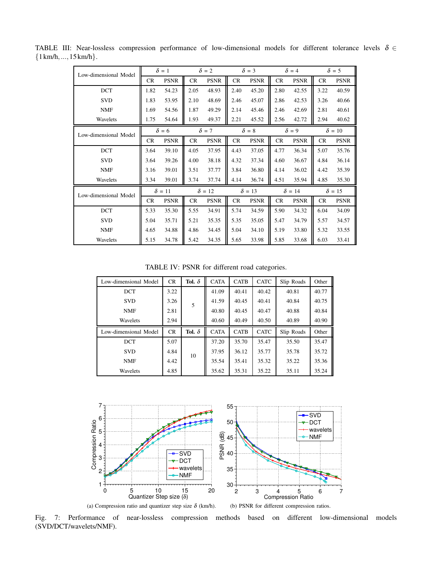| Low-dimensional Model | $\delta = 1$ |               | $\delta = 2$  |             | $\delta = 3$ |              | $\delta = 4$ |               | $\delta = 5$  |               |  |               |
|-----------------------|--------------|---------------|---------------|-------------|--------------|--------------|--------------|---------------|---------------|---------------|--|---------------|
|                       | <b>CR</b>    | <b>PSNR</b>   | CR            | <b>PSNR</b> | CR           | <b>PSNR</b>  | <b>CR</b>    | <b>PSNR</b>   | CR            | <b>PSNR</b>   |  |               |
| <b>DCT</b>            | 1.82         | 54.23         | 2.05          | 48.93       | 2.40         | 45.20        | 2.80         | 42.55         | 3.22          | 40.59         |  |               |
| <b>SVD</b>            | 1.83         | 53.95         | 2.10          | 48.69       | 2.46         | 45.07        | 2.86         | 42.53         | 3.26          | 40.66         |  |               |
| <b>NMF</b>            | 1.69         | 54.56         | 1.87          | 49.29       | 2.14         | 45.46        | 2.46         | 42.69         | 2.81          | 40.61         |  |               |
| Wavelets              | 1.75         | 54.64         | 1.93          | 49.37       | 2.21         | 45.52        | 2.56         | 42.72         | 2.94          | 40.62         |  |               |
| Low-dimensional Model | $\delta = 6$ |               | $\delta = 7$  |             |              | $\delta = 8$ | $\delta = 9$ |               | $\delta = 10$ |               |  |               |
|                       | <b>CR</b>    | <b>PSNR</b>   | <b>CR</b>     | <b>PSNR</b> | <b>CR</b>    | <b>PSNR</b>  | CR           | <b>PSNR</b>   | CR            | <b>PSNR</b>   |  |               |
| <b>DCT</b>            | 3.64         | 39.10         | 4.05          | 37.95       | 4.43         | 37.05        | 4.77         | 36.34         | 5.07          | 35.76         |  |               |
| <b>SVD</b>            | 3.64         | 39.26         | 4.00          | 38.18       | 4.32         | 37.34        | 4.60         | 36.67         | 4.84          | 36.14         |  |               |
| <b>NMF</b>            | 3.16         | 39.01         | 3.51          | 37.77       | 3.84         | 36.80        | 4.14         | 36.02         | 4.42          | 35.39         |  |               |
| Wavelets              | 3.34         | 39.01         | 3.74          | 37.74       | 4.14         | 36.74        | 4.51         | 35.94         | 4.85          | 35.30         |  |               |
| Low-dimensional Model |              | $\delta = 11$ | $\delta = 12$ |             |              |              |              | $\delta = 13$ |               | $\delta = 14$ |  | $\delta = 15$ |
|                       | <b>CR</b>    | <b>PSNR</b>   | CR            | <b>PSNR</b> | <b>CR</b>    | <b>PSNR</b>  | <b>CR</b>    | <b>PSNR</b>   | CR            | <b>PSNR</b>   |  |               |
| <b>DCT</b>            | 5.33         | 35.30         | 5.55          | 34.91       | 5.74         | 34.59        | 5.90         | 34.32         | 6.04          | 34.09         |  |               |
| <b>SVD</b>            | 5.04         | 35.71         | 5.21          | 35.35       | 5.35         | 35.05        | 5.47         | 34.79         | 5.57          | 34.57         |  |               |
| <b>NMF</b>            | 4.65         | 34.88         | 4.86          | 34.45       | 5.04         | 34.10        | 5.19         | 33.80         | 5.32          | 33.55         |  |               |
| Wavelets              | 5.15         | 34.78         | 5.42          | 34.35       | 5.65         | 33.98        | 5.85         | 33.68         | 6.03          | 33.41         |  |               |

TABLE III: Near-lossless compression performance of low-dimensional models for different tolerance levels  $\delta \in$  ${1 km/h,...,15 km/h}.$ 

TABLE IV: PSNR for different road categories.

| Low-dimensional Model | CR        | Tol. $\delta$ | <b>CATA</b> | <b>CATB</b> | <b>CATC</b> | Slip Roads | Other |
|-----------------------|-----------|---------------|-------------|-------------|-------------|------------|-------|
| <b>DCT</b>            | 3.22      |               | 41.09       | 40.41       | 40.42       | 40.81      | 40.77 |
| <b>SVD</b>            | 3.26      | 5             | 41.59       | 40.45       | 40.41       | 40.84      | 40.75 |
| <b>NMF</b>            | 2.81      |               | 40.80       | 40.45       | 40.47       | 40.88      | 40.84 |
| Wavelets              | 2.94      |               | 40.60       | 40.49       | 40.50       | 40.89      | 40.90 |
|                       |           |               |             |             |             |            |       |
| Low-dimensional Model | <b>CR</b> | Tol. $\delta$ | <b>CATA</b> | <b>CATB</b> | <b>CATC</b> | Slip Roads | Other |
| <b>DCT</b>            | 5.07      |               | 37.20       | 35.70       | 35.47       | 35.50      | 35.47 |
| <b>SVD</b>            | 4.84      |               | 37.95       | 36.12       | 35.77       | 35.78      | 35.72 |
| <b>NMF</b>            | 4.42      | 10            | 35.54       | 35.41       | 35.32       | 35.22      | 35.36 |



Fig. 7: Performance of near-lossless compression methods based on different low-dimensional models (SVD/DCT/wavelets/NMF).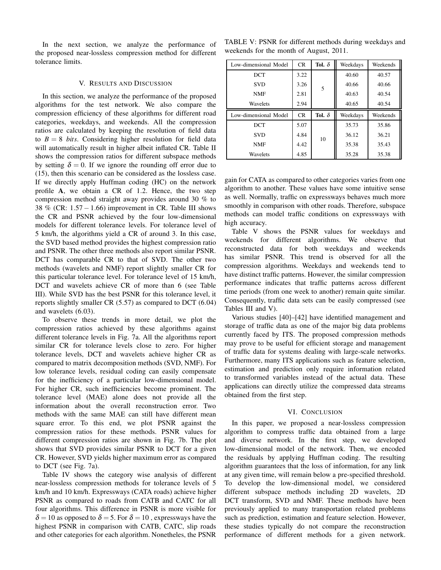In the next section, we analyze the performance of the proposed near-lossless compression method for different tolerance limits.

# V. RESULTS AND DISCUSSION

In this section, we analyze the performance of the proposed algorithms for the test network. We also compare the compression efficiency of these algorithms for different road categories, weekdays, and weekends. All the compression ratios are calculated by keeping the resolution of field data to  $B = 8$  *bits*. Considering higher resolution for field data will automatically result in higher albeit inflated CR. Table II shows the compression ratios for different subspace methods by setting  $\delta = 0$ . If we ignore the rounding off error due to (15), then this scenario can be considered as the lossless case. If we directly apply Huffman coding (HC) on the network profile **A**, we obtain a CR of 1.2. Hence, the two step compression method straight away provides around 30 % to 38 % (CR: 1.57−1.66) improvement in CR. Table III shows the CR and PSNR achieved by the four low-dimensional models for different tolerance levels. For tolerance level of 5 km/h, the algorithms yield a CR of around 3. In this case, the SVD based method provides the highest compression ratio and PSNR. The other three methods also report similar PSNR. DCT has comparable CR to that of SVD. The other two methods (wavelets and NMF) report slightly smaller CR for this particular tolerance level. For tolerance level of 15 km/h, DCT and wavelets achieve CR of more than 6 (see Table III). While SVD has the best PSNR for this tolerance level, it reports slightly smaller CR (5.57) as compared to DCT (6.04) and wavelets (6.03).

To observe these trends in more detail, we plot the compression ratios achieved by these algorithms against different tolerance levels in Fig. 7a. All the algorithms report similar CR for tolerance levels close to zero. For higher tolerance levels, DCT and wavelets achieve higher CR as compared to matrix decomposition methods (SVD, NMF). For low tolerance levels, residual coding can easily compensate for the inefficiency of a particular low-dimensional model. For higher CR, such inefficiencies become prominent. The tolerance level (MAE) alone does not provide all the information about the overall reconstruction error. Two methods with the same MAE can still have different mean square error. To this end, we plot PSNR against the compression ratios for these methods. PSNR values for different compression ratios are shown in Fig. 7b. The plot shows that SVD provides similar PSNR to DCT for a given CR. However, SVD yields higher maximum error as compared to DCT (see Fig. 7a).

Table IV shows the category wise analysis of different near-lossless compression methods for tolerance levels of 5 km/h and 10 km/h. Expressways (CATA roads) achieve higher PSNR as compared to roads from CATB and CATC for all four algorithms. This difference in PSNR is more visible for  $\delta = 10$  as opposed to  $\delta = 5$ . For  $\delta = 10$ , expressways have the highest PSNR in comparison with CATB, CATC, slip roads and other categories for each algorithm. Nonetheles, the PSNR

| TABLE V: PSNR for different methods during weekdays and |  |  |
|---------------------------------------------------------|--|--|
| weekends for the month of August, 2011.                 |  |  |

| Low-dimensional Model | CR.  | Tol. $\delta$ | Weekdays | Weekends |
|-----------------------|------|---------------|----------|----------|
| DCT                   | 3.22 |               | 40.60    | 40.57    |
| <b>SVD</b>            | 3.26 | 5             | 40.66    | 40.66    |
| <b>NMF</b>            | 2.81 |               | 40.63    | 40.54    |
| Wavelets              | 2.94 |               | 40.65    | 40.54    |
|                       |      |               |          |          |
| Low-dimensional Model | CR   | Tol. $\delta$ | Weekdays | Weekends |
| DCT                   | 5.07 |               | 35.73    | 35.86    |
| <b>SVD</b>            | 4.84 |               | 36.12    | 36.21    |
| <b>NMF</b>            | 4.42 | 10            | 35.38    | 35.43    |

gain for CATA as compared to other categories varies from one algorithm to another. These values have some intuitive sense as well. Normally, traffic on expressways behaves much more smoothly in comparison with other roads. Therefore, subspace methods can model traffic conditions on expressways with high accuracy.

Table V shows the PSNR values for weekdays and weekends for different algorithms. We observe that reconstructed data for both weekdays and weekends has similar PSNR. This trend is observed for all the compression algorithms. Weekdays and weekends tend to have distinct traffic patterns. However, the similar compression performance indicates that traffic patterns across different time periods (from one week to another) remain quite similar. Consequently, traffic data sets can be easily compressed (see Tables III and V).

Various studies [40]–[42] have identified management and storage of traffic data as one of the major big data problems currently faced by ITS. The proposed compression methods may prove to be useful for efficient storage and management of traffic data for systems dealing with large-scale networks. Furthermore, many ITS applications such as feature selection, estimation and prediction only require information related to transformed variables instead of the actual data. These applications can directly utilize the compressed data streams obtained from the first step.

# VI. CONCLUSION

In this paper, we proposed a near-lossless compression algorithm to compress traffic data obtained from a large and diverse network. In the first step, we developed low-dimensional model of the network. Then, we encoded the residuals by applying Huffman coding. The resulting algorithm guarantees that the loss of information, for any link at any given time, will remain below a pre-specified threshold. To develop the low-dimensional model, we considered different subspace methods including 2D wavelets, 2D DCT transform, SVD and NMF. These methods have been previously applied to many transportation related problems such as prediction, estimation and feature selection. However, these studies typically do not compare the reconstruction performance of different methods for a given network.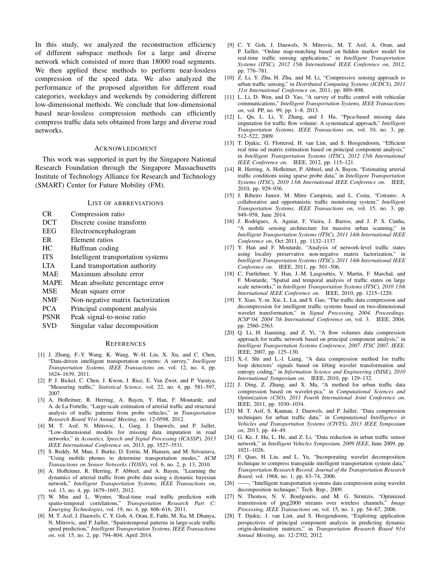In this study, we analyzed the reconstruction efficiency of different subspace methods for a large and diverse network which consisted of more than 18000 road segments. We then applied these methods to perform near-lossless compression of the speed data. We also analyzed the performance of the proposed algorithm for different road categories, weekdays and weekends by considering different low-dimensional methods. We conclude that low-dimensional based near-lossless compression methods can efficiently compress traffic data sets obtained from large and diverse road networks.

#### ACKNOWLEDGMENT

This work was supported in part by the Singapore National Research Foundation through the Singapore Massachusetts Institute of Technology Alliance for Research and Technology (SMART) Center for Future Mobility (FM).

#### LIST OF ABBREVIATIONS

| CR.        | Compression ratio         |
|------------|---------------------------|
| <b>DCT</b> | Discrete cosine transform |
| EEG        | Electroencephalogram      |
| ER         | Element ratios            |
|            |                           |

- HC Huffman coding
- ITS Intelligent transportation systems
- LTA Land transportation authority
- MAE Maximum absolute error
- MAPE Mean absolute percentage error
- MSE Mean square error
- NMF Non-negative matrix factorization
- PCA Principal component analysis
- PSNR Peak signal-to-noise ratio
- SVD Singular value decomposition

#### **REFERENCES**

- [1] J. Zhang, F.-Y. Wang, K. Wang, W.-H. Lin, X. Xu, and C. Chen, "Data-driven intelligent transportation systems: A survey," *Intelligent Transportation Systems, IEEE Transactions on*, vol. 12, no. 4, pp. 1624–1639, 2011.
- [2] P. J. Bickel, C. Chen, J. Kwon, J. Rice, E. Van Zwet, and P. Varaiya, "Measuring traffic," *Statistical Science*, vol. 22, no. 4, pp. 581–597, 2007.
- [3] A. Hofleitner, R. Herring, A. Bayen, Y. Han, F. Moutarde, and A. de La Fortelle, "Large-scale estimation of arterial traffic and structural analysis of traffic patterns from probe vehicles," in *Transportation Research Board 91st Annual Meeting*, no. 12-0598, 2012.
- [4] M. T. Asif, N. Mitrovic, L. Garg, J. Dauwels, and P. Jaillet, "Low-dimensional models for missing data imputation in road networks," in *Acoustics, Speech and Signal Processing (ICASSP), 2013 IEEE International Conference on*, 2013, pp. 3527–3531.
- [5] S. Reddy, M. Mun, J. Burke, D. Estrin, M. Hansen, and M. Srivastava, "Using mobile phones to determine transportation modes," *ACM Transactions on Sensor Networks (TOSN)*, vol. 6, no. 2, p. 13, 2010.
- [6] A. Hofleitner, R. Herring, P. Abbeel, and A. Bayen, "Learning the dynamics of arterial traffic from probe data using a dynamic bayesian network," *Intelligent Transportation Systems, IEEE Transactions on*, vol. 13, no. 4, pp. 1679–1693, 2012.
- [7] W. Min and L. Wynter, "Real-time road traffic prediction with spatio-temporal correlations," *Transportation Research Part C: Emerging Technologies*, vol. 19, no. 4, pp. 606–616, 2011.
- [8] M. T. Asif, J. Dauwels, C. Y. Goh, A. Oran, E. Fathi, M. Xu, M. Dhanya, N. Mitrovic, and P. Jaillet, "Spatiotemporal patterns in large-scale traffic speed prediction," *Intelligent Transportation Systems, IEEE Transactions on*, vol. 15, no. 2, pp. 794–804, April 2014.
- [9] C. Y. Goh, J. Dauwels, N. Mitrovic, M. T. Asif, A. Oran, and P. Jaillet, "Online map-matching based on hidden markov model for real-time traffic sensing applications," in *Intelligent Transportation Systems (ITSC), 2012 15th International IEEE Conference on*, 2012, pp. 776–781.
- [10] Z. Li, Y. Zhu, H. Zhu, and M. Li, "Compressive sensing approach to urban traffic sensing," in *Distributed Computing Systems (ICDCS), 2011 31st International Conference on*, 2011, pp. 889–898.
- [11] L. Li, D. Wen, and D. Yao, "A survey of traffic control with vehicular communications," *Intelligent Transportation Systems, IEEE Transactions on*, vol. PP, no. 99, pp. 1–8, 2013.
- [12] L. Qu, L. Li, Y. Zhang, and J. Hu, "Ppca-based missing data imputation for traffic flow volume: A systematical approach," *Intelligent Transportation Systems, IEEE Transactions on*, vol. 10, no. 3, pp. 512–522, 2009.
- [13] T. Djukic, G. Flotterod, H. van Lint, and S. Hoogendoorn, "Efficient real time od matrix estimation based on principal component analysis," in *Intelligent Transportation Systems (ITSC), 2012 15th International IEEE Conference on*. IEEE, 2012, pp. 115–121.
- [14] R. Herring, A. Hofleitner, P. Abbeel, and A. Bayen, "Estimating arterial traffic conditions using sparse probe data," in *Intelligent Transportation Systems (ITSC), 2010 13th International IEEE Conference on*. IEEE, 2010, pp. 929–936.
- [15] J. Ribeiro Junior, M. Mitre Campista, and L. Costa, "Cotrams: A collaborative and opportunistic traffic monitoring system," *Intelligent Transportation Systems, IEEE Transactions on*, vol. 15, no. 3, pp. 949–958, June 2014.
- [16] J. Rodrigues, A. Aguiar, F. Vieira, J. Barros, and J. P. S. Cunha, "A mobile sensing architecture for massive urban scanning," in *Intelligent Transportation Systems (ITSC), 2011 14th International IEEE Conference on*, Oct 2011, pp. 1132–1137.
- [17] Y. Han and F. Moutarde, "Analysis of network-level traffic states using locality preservative non-negative matrix factorization," *Intelligent Transportation Systems (ITSC), 2011 14th International IEEE Conference on*. IEEE, 2011, pp. 501–506.
- [18] C. Furtlehner, Y. Han, J.-M. Lasgouttes, V. Martin, F. Marchal, and F. Moutarde, "Spatial and temporal analysis of traffic states on large scale networks," in *Intelligent Transportation Systems (ITSC), 2010 13th International IEEE Conference on*. IEEE, 2010, pp. 1215–1220.
- [19] Y. Xiao, Y.-m. Xie, L. Lu, and S. Gao, "The traffic data compression and decompression for intelligent traffic systems based on two-dimensional wavelet transformation," in *Signal Processing, 2004. Proceedings. ICSP'04. 2004 7th International Conference on*, vol. 3. IEEE, 2004, pp. 2560–2563.
- [20] Q. Li, H. Jianming, and Z. Yi, "A flow volumes data compression approach for traffic network based on principal component analysis," in *Intelligent Transportation Systems Conference, 2007. ITSC 2007. IEEE*. IEEE, 2007, pp. 125–130.
- [21] X.-f. Shi and L.-l. Liang, "A data compression method for traffic loop detectors' signals based on lifting wavelet transformation and entropy coding," in *Information Science and Engineering (ISISE), 2010 International Symposium on*. IEEE, 2010, pp. 129–132.
- [22] J. Ding, Z. Zhang, and X. Ma, "A method for urban traffic data compression based on wavelet-pca," in *Computational Sciences and Optimization (CSO), 2011 Fourth International Joint Conference on*. IEEE, 2011, pp. 1030–1034.
- [23] M. T. Asif, S. Kannan, J. Dauwels, and P. Jaillet, "Data compression techniques for urban traffic data," in *Computational Intelligence in Vehicles and Transportation Systems (CIVTS), 2013 IEEE Symposium on*, 2013, pp. 44–49.
- [24] G. Ke, J. Hu, L. He, and Z. Li, "Data reduction in urban traffic sensor network," in *Intelligent Vehicles Symposium, 2009 IEEE*, June 2009, pp. 1021–1026.
- [25] F. Qiao, H. Liu, and L. Yu, "Incorporating wavelet decomposition technique to compress transguide intelligent transportation system data," *Transportation Research Record: Journal of the Transportation Research Board*, vol. 1968, no. 1, pp. 63–74, 2006.
- [26] ——, "Intelligent transportation systems data compression using wavelet decomposition technique," Tech. Rep., 2009.
- [27] N. Thomos, N. V. Boulgouris, and M. G. Strintzis, "Optimized transmission of jpeg2000 streams over wireless channels," *Image Processing, IEEE Transactions on*, vol. 15, no. 1, pp. 54–67, 2006.
- [28] T. Djukic, J. van Lint, and S. Hoogendoorn, "Exploring application perspectives of principal component analysis in predicting dynamic origin-destination matrices," in *Transportation Research Board 91st Annual Meeting*, no. 12-2702, 2012.